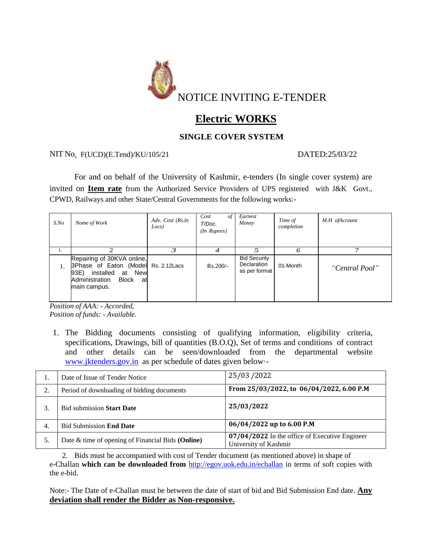

# **Electric WORKS**

## **SINGLE COVER SYSTEM**

### NIT No<sub>.</sub> F(UCD)(E.Tend)/KU/105/21 DATED:25/03/22

For and on behalf of the University of Kashmir, e-tenders (In single cover system) are invited on **Item rate** from the Authorized Service Providers of UPS registered with J&K Govt., CPWD, Railways and other State/Central Governments for the following works:-

| $S$ .No | Nome of Work                                                                                                                                                | Adv. Cost (Rs.ln<br>Locs) | Cost<br>of<br>T/Doc.<br>$(In$ Rupees $)$ | Earnest<br>Money                                    | Time of<br>completion | M.H ofAccount  |
|---------|-------------------------------------------------------------------------------------------------------------------------------------------------------------|---------------------------|------------------------------------------|-----------------------------------------------------|-----------------------|----------------|
| 1.      |                                                                                                                                                             |                           | 4                                        |                                                     |                       |                |
|         | Repairing of 30KVA online,<br>3Phase of Eaton (Model Rs. 2.12Lacs<br>installed<br>93E)<br>New<br>at<br>Administration<br><b>Block</b><br>at<br>main campus. |                           | $Rs.200/-$                               | <b>Bid Security</b><br>Declaration<br>as per format | 01-Month              | "Central Pool" |

*Position of AAA: - Accorded, Position of funds: - Available.*

1. The Bidding documents consisting of qualifying information, eligibility criteria, specifications, Drawings, bill of quantities (B.O.Q), Set of terms and conditions of contract and other details can be seen/downloaded from the departmental website [www.jktenders.gov.in](http://www.jktenders.gov.in/) as per schedule of dates given below·-

|     | Date of Issue of Tender Notice                    | 25/03/2022                                                              |
|-----|---------------------------------------------------|-------------------------------------------------------------------------|
|     | Period of downloading of bidding documents        | From 25/03/2022, to 06/04/2022, 6.00 P.M                                |
|     | <b>Bid submission Start Date</b>                  | 25/03/2022                                                              |
| -4. | <b>Bid Submission End Date</b>                    | 06/04/2022 up to 6.00 P.M                                               |
|     | Date & time of opening of Financial Bids (Online) | 07/04/2022 In the office of Executive Engineer<br>University of Kashmir |

2. Bids must be accompanied with cost of Tender document (as mentioned above) in shape of e-Challan **which can be downloaded from** <http://egov.uok.edu.in/echallan> in terms of soft copies with the e-bid.

Note:- The Date of e-Challan must be between the date of start of bid and Bid Submission End date. **Any deviation shall render the Bidder as Non-responsive.**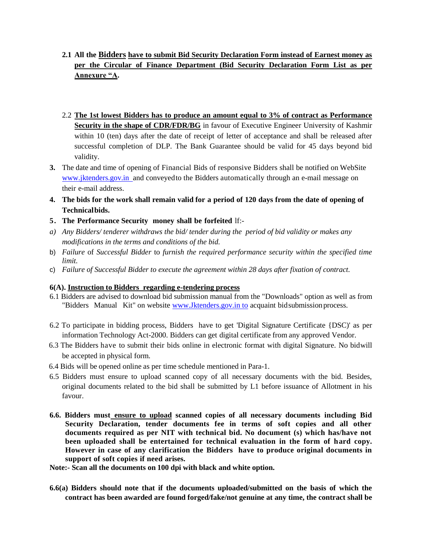- **2.1 All the Bidders have to submit Bid Security Declaration Form instead of Earnest money as per the Circular of Finance Department (Bid Security Declaration Form List as per Annexure "A.**
- 2.2 **The 1st lowest Bidders has to produce an amount equal to 3% of contract as Performance Security in the shape of CDR/FDR/BG** in favour of Executive Engineer University of Kashmir within 10 (ten) days after the date of receipt of letter of acceptance and shall be released after successful completion of DLP. The Bank Guarantee should be valid for 45 days beyond bid validity.
- **3.** The date and time of opening of Financial Bids of responsive Bidders shall be notified on WebSite www.jktenders.gov.in and conveyed to the Bidders automatically through an e-mail message on their e-mail address.
- 4. The bids for the work shall remain valid for a period of 120 days from the date of opening of **Technical bids.**
- **5. The Performance Security money shall be forfeited** lf:-
- *a) Any Bidders/ tenderer withdraws the bid/ tender during the period of bid validity or makes any modifications in the terms and conditions of the bid.*
- b) *Failure* of *Successful Bidder* to *furnish the required performance security within the specified time limit.*
- c) *Failure of Successful Bidder to execute the agreement within 28 days after fixation of contract.*

#### **6(A). Instruction to Bidders regarding e-tendering process**

- 6.1 Bidders are advised to download bid submission manual from the "Downloads" option as well as from "Bidders Manual Kit" on website www.Jktenders.gov.in to acquaint bid submission process.
- 6.2 To participate in bidding process, Bidders have to get 'Digital Signature Certificate {DSC)' as per information Technology Act-2000. Bidders can get digital certificate from any approved Vendor.
- 6.3 The Bidders have to submit their bids online in electronic format with digital Signature. No bidwill be accepted in physical form.
- 6.4 Bids will be opened online as per time schedule mentioned in Para-1.
- 6.5 Bidders must ensure to upload scanned copy of all necessary documents with the bid. Besides, original documents related to the bid shall be submitted by L1 before issuance of Allotment in his favour.
- **6.6. Bidders must ensure to upload scanned copies of all necessary documents including Bid Security Declaration, tender documents fee in terms of soft copies and all other documents required as per NIT with technical bid. No document (s) which has/have not been uploaded shall be entertained for technical evaluation in the form of hard copy. However in case of any clarification the Bidders have to produce original documents in support of soft copies if need arises.**
- **Note:- Scan all the documents on 100 dpi with black and white option.**
- **6.6(a) Bidders should note that if the documents uploaded/submitted on the basis of which the contract has been awarded are found forged/fake/not genuine at any time, the contract shall be**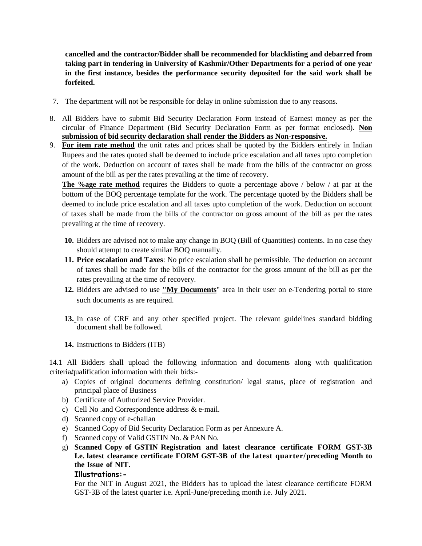**cancelled and the contractor/Bidder shall be recommended for blacklisting and debarred from taking part in tendering in University of Kashmir/Other Departments for a period of one year in the first instance, besides the performance security deposited for the said work shall be forfeited.** 

- 7. The department will not be responsible for delay in online submission due to any reasons.
- 8. All Bidders have to submit Bid Security Declaration Form instead of Earnest money as per the circular of Finance Department (Bid Security Declaration Form as per format enclosed). **Non submission of bid security declaration shall render the Bidders as Non-responsive.**
- 9. **For item rate method** the unit rates and prices shall be quoted by the Bidders entirely in Indian Rupees and the rates quoted shall be deemed to include price escalation and all taxes upto completion of the work. Deduction on account of taxes shall be made from the bills of the contractor on gross amount of the bill as per the rates prevailing at the time of recovery.

**The %age rate method** requires the Bidders to quote a percentage above / below / at par at the bottom of the BOQ percentage template for the work. The percentage quoted by the Bidders shall be deemed to include price escalation and all taxes upto completion of the work. Deduction on account of taxes shall be made from the bills of the contractor on gross amount of the bill as per the rates prevailing at the time of recovery.

- **10.** Bidders are advised not to make any change in BOQ (Bill of Quantities) contents. In no case they should attempt to create similar BOQ manually.
- **11. Price escalation and Taxes**: No price escalation shall be permissible. The deduction on account of taxes shall be made for the bills of the contractor for the gross amount of the bill as per the rates prevailing at the time of recovery.
- **12.** Bidders are advised to use **"My Documents**" area in their user on e-Tendering portal to store such documents as are required.
- **13.** In case of CRF and any other specified project. The relevant guidelines standard bidding document shall be followed.
- **14.** Instructions to Bidders (ITB)

14.1 All Bidders shall upload the following information and documents along with qualification criteria qualification information with their bids:-

- a) Copies of original documents defining constitution/ legal status, place of registration and principal place of Business
- b) Certificate of Authorized Service Provider.
- c) Cell No .and Correspondence address & e-mail.
- d) Scanned copy of e-challan
- e) Scanned Copy of Bid Security Declaration Form as per Annexure A.
- f) Scanned copy of Valid GSTIN No. & PAN No.
- g) **Scanned Copy of GSTIN Registration and latest clearance certificate FORM GST-3B I.e. latest clearance certificate FORM GST-3B of the latest quarter/preceding Month to the Issue of NIT.**

#### **Illustrations:-**

For the NIT in August 2021, the Bidders has to upload the latest clearance certificate FORM GST-3B of the latest quarter i.e. April-June/preceding month i.e. July 2021.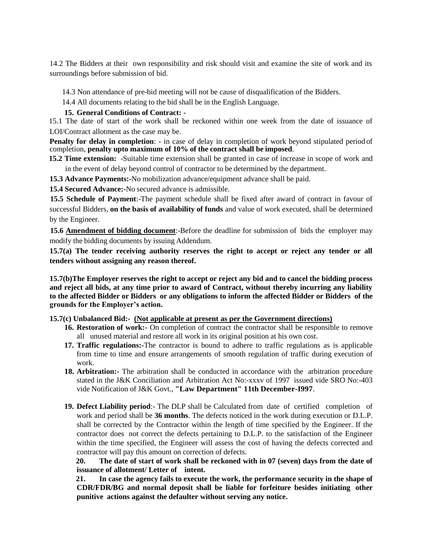14.2 The Bidders at their own responsibility and risk should visit and examine the site of work and its surroundings before submission of bid.

14.3 Non attendance of pre-bid meeting will not be cause of disqualification of the Bidders.

14.4 All documents relating to the bid shall be in the English Language.

#### **15. General Conditions of Contract: -**

15.1 The date of start of the work shall be reckoned within one week from the date of issuance of LOI/Contract allotment as the case may be.

**Penalty for delay in completion**: - in case of delay in completion of work beyond stipulated period of completion, **penalty upto maximum of 10% of the contract shall be imposed**.

**15.2 Time extension:** -Suitable time extension shall be granted in case of increase in scope of work and in the event of delay beyond control of contractor to be determined by the department.

**15.3 Advance Payments:-**No mobilization advance/equipment advance shall be paid.

**15.4 Secured Advance:-**No secured advance is admissible.

**15.5 Schedule of Payment**:-The payment schedule shall be fixed after award of contract in favour of successful Bidders, **on the basis of availability of funds** and value of work executed, shall be determined by the Engineer.

**15.6 Amendment of bidding document**:-Before the deadline for submission of bids the employer may modify the bidding documents by issuing Addendum.

**15.7(a) The tender receiving authority reserves the right to accept or reject any tender or all tenders without assigning any reason thereof.**

**15.7(b)The Employer reserves the right to accept or reject any bid and to cancel the bidding process and reject all bids, at any time prior to award of Contract, without thereby incurring any liability to the affected Bidder or Bidders or any obligations to inform the affected Bidder or Bidders of the grounds for the Employer's action.**

#### **15.7(c) Unbalanced Bid:- (Not applicable at present as per the Government directions)**

- 16. **Restoration of work:-** On completion of contract the contractor shall be responsible to remove all unused material and restore all work in its original position at his own cost.
- **17. Traffic regulations:-**The contractor is bound to adhere to traffic regulations as is applicable from time to time and ensure arrangements of smooth regulation of traffic during execution of work.
- **18. Arbitration:-** The arbitration shall be conducted in accordance with the arbitration procedure stated in the J&K Conciliation and Arbitration Act No:-xxxv of 1997 issued vide SRO No:-403 vide Notification of J&K Govt., **"Law Department" 11th December-I997**.
- **19. Defect Liability period**:- The DLP shall be Calculated from date of certified completion of work and period shall be **36 months**. The defects noticed in the work during execution or D.L.P. shall be corrected by the Contractor within the length of time specified by the Engineer. If the contractor does not correct the defects pertaining to D.L.P. to the satisfaction of the Engineer within the time specified, the Engineer will assess the cost of having the defects corrected and contractor will pay this amount on correction of defects.

**20. The date of start of work shall be reckoned with in 07 (seven) days from the date of issuance of allotment/ Letter of intent.** 

**21. In case the agency fails to execute the work, the performance security in the shape of CDR/FDR/BG and normal deposit shall be liable for forfeiture besides initiating other punitive actions against the defaulter without serving any notice.**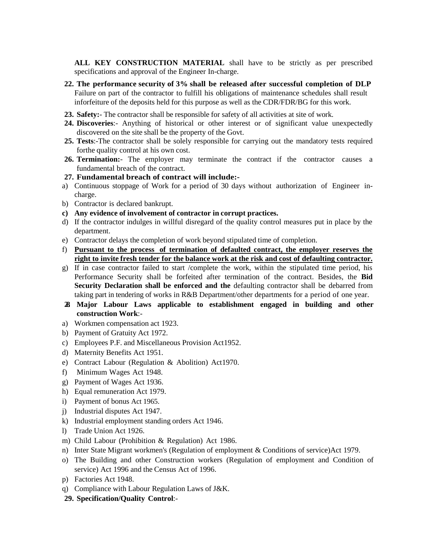**ALL KEY CONSTRUCTION MATERIAL** shall have to be strictly as per prescribed specifications and approval of the Engineer In-charge.

- **22. The performance security of 3% shall be released after successful completion of DLP** Failure on part of the contractor to fulfill his obligations of maintenance schedules shall result inforfeiture of the deposits held for this purpose as well as the CDR/FDR/BG for this work.
- **23. Safety:** The contractor shall be responsible for safety of all activities at site of work.
- **24. Discoveries**:- Anything of historical or other interest or of significant value unexpectedly discovered on the site shall be the property of the Govt.
- **25. Tests**:-The contractor shall be solely responsible for carrying out the mandatory tests required forthe quality control at his own cost.
- 26. Termination:- The employer may terminate the contract if the contractor causes a fundamental breach of the contract.
- **27. Fundamental breach of contract will include:-**
- a) Continuous stoppage of Work for a period of 30 days without authorization of Engineer incharge.
- b) Contractor is declared bankrupt.
- **c) Any evidence of involvement of contractor in corrupt practices.**
- d) If the contractor indulges in willful disregard of the quality control measures put in place by the department.
- e) Contractor delays the completion of work beyond stipulated time of completion.
- f) **Pursuant to the process of termination of defaulted contract, the employer reserves the right to invite fresh tender for the balance work at the risk and cost of defaulting contractor.**
- g) If in case contractor failed to start /complete the work, within the stipulated time period, his Performance Security shall be forfeited after termination of the contract. Besides, the **Bid Security Declaration shall be enforced and the** defaulting contractor shall be debarred from taking part in tendering of works in R&B Department/other departments for a period of one year.
- **28. Major Labour Laws applicable to establishment engaged in building and other construction Work**:-
- a) Workmen compensation act 1923.
- b) Payment of Gratuity Act 1972.
- c) Employees P.F. and Miscellaneous Provision Act1952.
- d) Maternity Benefits Act 1951.
- e) Contract Labour (Regulation & Abolition) Act1970.
- f) Minimum Wages Act 1948.
- g) Payment of Wages Act 1936.
- h) Equal remuneration Act 1979.
- i) Payment of bonus Act 1965.
- j) Industrial disputes Act 1947.
- k) Industrial employment standing orders Act 1946.
- l) Trade Union Act 1926.
- m) Child Labour (Prohibition & Regulation) Act 1986.
- n) Inter State Migrant workmen's (Regulation of employment & Conditions of service)Act 1979.
- o) The Building and other Construction workers (Regulation of employment and Condition of service) Act 1996 and the Census Act of 1996.
- p) Factories Act 1948.
- q) Compliance with Labour Regulation Laws of J&K.
- **29. Specification/Quality Control**:-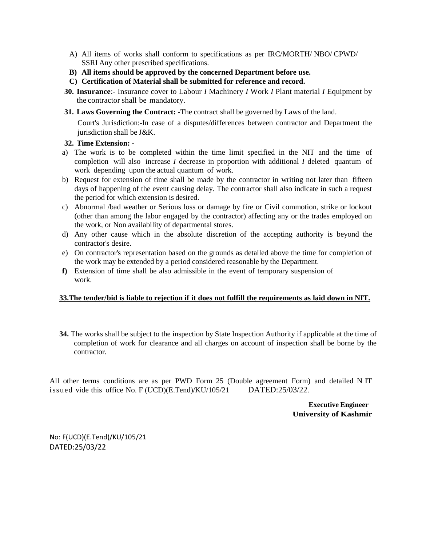- A) All items of works shall conform to specifications as per IRC/MORTH/ NBO/ CPWD/ SSRI Any other prescribed specifications.
- **B) All items should be approved by the concerned Department before use.**
- **C) Certification of Material shall be submitted for reference and record.**
- **30. Insurance**:- Insurance cover to Labour *I* Machinery *I* Work *I* Plant material *I* Equipment by the contractor shall be mandatory.
- **31. Laws Governing the Contract: -**The contract shall be governed by Laws of the land.

Court's Jurisdiction:-In case of a disputes/differences between contractor and Department the jurisdiction shall be J&K.

#### **32. Time Extension: -**

- a) The work is to be completed within the time limit specified in the NIT and the time of completion will also increase *I* decrease in proportion with additional *I* deleted quantum of work depending upon the actual quantum of work.
- b) Request for extension of time shall be made by the contractor in writing not later than fifteen days of happening of the event causing delay. The contractor shall also indicate in such a request the period for which extension is desired.
- c) Abnormal /bad weather or Serious loss or damage by fire or Civil commotion, strike or lockout (other than among the labor engaged by the contractor) affecting any or the trades employed on the work, or Non availability of departmental stores.
- d) Any other cause which in the absolute discretion of the accepting authority is beyond the contractor's desire.
- e) On contractor's representation based on the grounds as detailed above the time for completion of the work may be extended by a period considered reasonable by the Department.
- **f)** Extension of time shall be also admissible in the event of temporary suspension of work.

#### **33.The tender/bid is liable to rejection if it does not fulfill the requirements as laid down in NIT.**

**34.** The works shall be subject to the inspection by State Inspection Authority if applicable at the time of completion of work for clearance and all charges on account of inspection shall be borne by the contractor.

All other terms conditions are as per PWD Form 25 (Double agreement Form) and detailed N IT issued vide this office No. F (UCD)(E.Tend)/KU/105/21 DATED:25/03/22.

> **Executive Engineer University of Kashmir**

No: F(UCD)(E.Tend)/KU/105/21 DATED:25/03/22